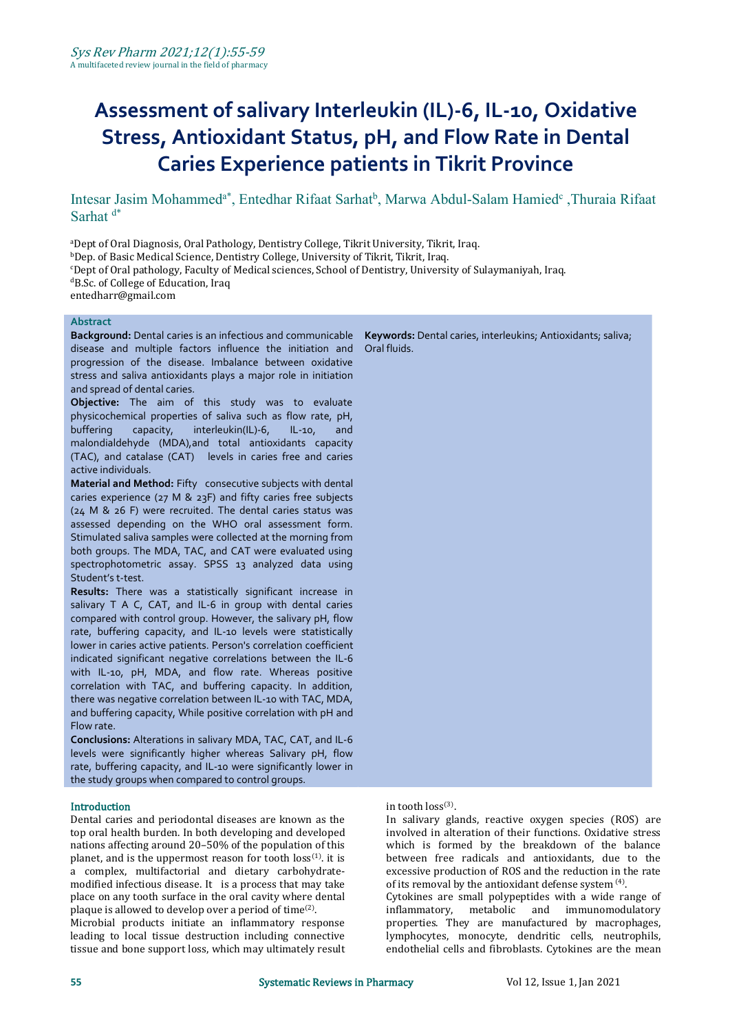# **Assessment of salivary Interleukin (IL)-6, IL-10, Oxidative Stress, Antioxidant Status, pH, and Flow Rate in Dental Caries Experience patients in Tikrit Province**

Intesar Jasim Mohammed<sup>a\*</sup>, Entedhar Rifaat Sarhat<sup>b</sup>, Marwa Abdul-Salam Hamied<sup>c</sup>, Thuraia Rifaat Sarhat<sup>d\*</sup>

<sup>a</sup>Dept of Oral Diagnosis, Oral Pathology, Dentistry College, Tikrit University, Tikrit, Iraq.

bDep. of Basic Medical Science, Dentistry College, University of Tikrit, Tikrit, Iraq.

<sup>c</sup>Dept of Oral pathology, Faculty of Medical sciences, School of Dentistry, University of Sulaymaniyah, Iraq.

<sup>d</sup>B.Sc. of College of Education, Iraq

entedharr@gmail.com

# **Abstract**

**Background:** Dental caries is an infectious and communicable disease and multiple factors influence the initiation and progression of the disease. Imbalance between oxidative stress and saliva antioxidants plays a major role in initiation and spread of dental caries.

**Objective:** The aim of this study was to evaluate physicochemical properties of saliva such as flow rate, pH, buffering capacity, interleukin(IL)-6, IL-10, and malondialdehyde (MDA),and total antioxidants capacity (TAC), and catalase (CAT) levels in caries free and caries active individuals.

**Material and Method:** Fifty consecutive subjects with dental caries experience (27 M & 23F) and fifty caries free subjects (24 M & 26 F) were recruited. The dental caries status was assessed depending on the WHO oral assessment form. Stimulated saliva samples were collected at the morning from both groups. The MDA, TAC, and CAT were evaluated using spectrophotometric assay. SPSS 13 analyzed data using Student's t-test.

**Results:** There was a statistically significant increase in salivary T A C, CAT, and IL-6 in group with dental caries compared with control group. However, the salivary pH, flow rate, buffering capacity, and IL-10 levels were statistically lower in caries active patients. Person's correlation coefficient indicated significant negative correlations between the IL-6 with IL-10, pH, MDA, and flow rate. Whereas positive correlation with TAC, and buffering capacity. In addition, there was negative correlation between IL-10 with TAC, MDA, and buffering capacity, While positive correlation with pH and Flow rate.

**Conclusions:** Alterations in salivary MDA, TAC, CAT, and IL-6 levels were significantly higher whereas Salivary pH, flow rate, buffering capacity, and IL-10 were significantly lower in the study groups when compared to control groups.

#### Introduction

Dental caries and periodontal diseases are known as the top oral health burden. In both developing and developed nations affecting around 20–50% of the population of this planet, and is the uppermost reason for tooth  $loss^{(1)}$ . it is  $set$ a complex, multifactorial and dietary carbohydrate modified infectious disease. It is a process that may take place on any tooth surface in the oral cavity where dental plaque is allowed to develop over a period of  $time^{(2)}$ .  $\hspace{2cm}$  infla .

Microbial products initiate an inflammatory response leading to local tissue destruction including connective tissue and bone support loss, which may ultimately result

**Keywords:** Dental caries, interleukins; Antioxidants; saliva; Oral fluids.

#### in tooth  $loss^{(3)}$ .

. it is between free radicals and antioxidants, due to the . In salivary glands, reactive oxygen species (ROS) are involved in alteration of their functions. Oxidative stress which is formed by the breakdown of the balance excessive production of ROS and the reduction in the rate of its removal by the antioxidant defense system  $(4)$ . .

Cytokines are small polypeptides with a wide range of inflammatory, metabolic and immunomodulatory properties. They are manufactured by macrophages, lymphocytes, monocyte, dendritic cells, neutrophils, endothelial cells and fibroblasts. Cytokines are the mean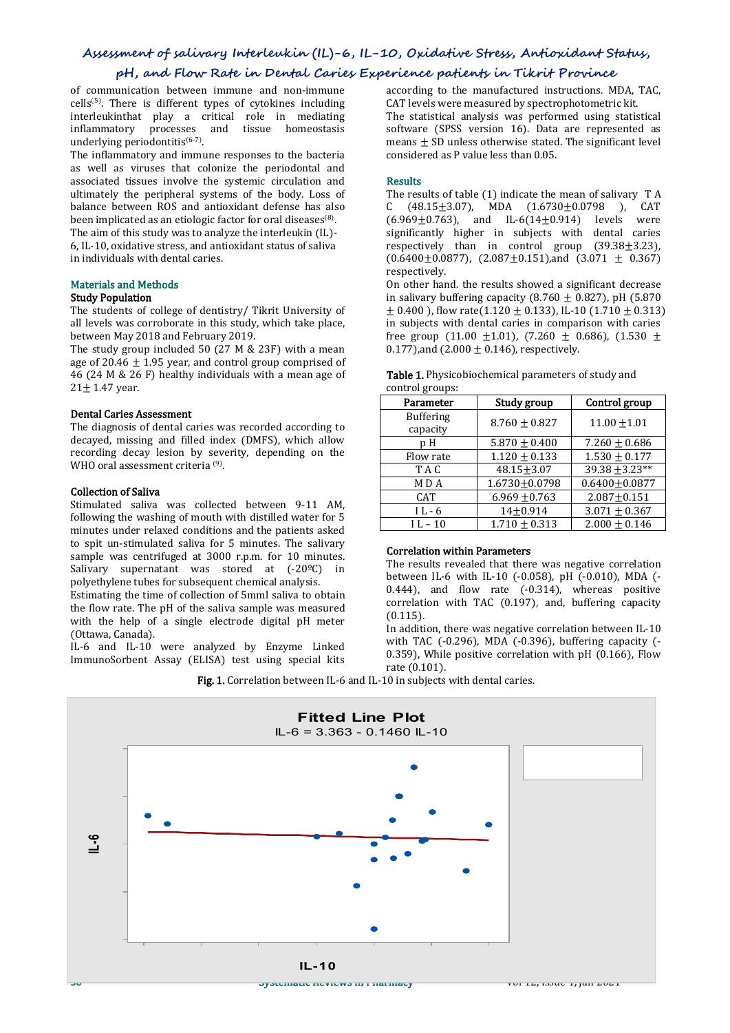## **Assessment of salivary Interleukin (IL)-6, IL-10, Oxidative Stress, Antioxidant Status,**

# **pH, and Flow Rate in DentalCaries Experience patients in Tikrit Province**

of communication between immune and non-immune cells<sup>(5)</sup>. There is different types of cytokines including carrievels words interleukinthat play a critical role in mediating inflammatory processes and tissue homeostasis underlying periodontitis (6-7) .

The inflammatory and immune responses to the bacteria as well as viruses that colonize the periodontal and<br>associated tissues involve the systemic circulation and **Results** associated tissues involve the systemic circulation and ultimately the peripheral systems of the body. Loss of The halance between ROS and antioxidant defense has also balance between ROS and antioxidant defense has also been implicated as an etiologic factor for oral diseases<sup>(8)</sup>. (6.969) . The aim of this study was to analyze the interleukin (IL)- 6, IL-10, oxidative stress, and antioxidant status of saliva

in individuals with dental caries.

# Materials and Methods

# Study Population

The students of college of dentistry/ Tikrit University of all levels was corroborate in this study, which take place, between May 2018 and February 2019.

The study group included 50 (27 M & 23F) with a mean age of 20.46  $\pm$  1.95 year, and control group comprised of 46 (24 M & 26 F) healthy individuals with a mean age of  $21 \pm 1.47$  year.

#### Dental Caries Assessment

The diagnosis of dental caries was recorded according to decayed, missing and filled index (DMFS), which allow recording decay lesion by severity, depending on the WHO oral assessment criteria <sup>(9)</sup>. .

#### Collection of Saliva

Stimulated saliva was collected between 9-11 AM, following the washing of mouth with distilled water for 5 minutes under relaxed conditions and the patients asked to spit un-stimulated saliva for 5 minutes. The salivary sample was centrifuged at 3000 r.p.m. for 10 minutes. Salivary supernatant was stored at (-20<sup>o</sup>C) in polyethylene tubes for subsequent chemical analysis.

Estimating the time of collection of 5mml saliva to obtain the flow rate. The pH of the saliva sample was measured with the help of a single electrode digital pH meter (Ottawa, Canada).

IL-6 and IL-10 were analyzed by Enzyme Linked ImmunoSorbent Assay (ELISA) test using special kits

according to the manufactured instructions. MDA, TAC, CAT levels were measured by spectrophotometric kit. The statistical analysis was performed using statistical software (SPSS version 16). Data are represented as means  $\pm$  SD unless otherwise stated. The significant level considered as P value less than 0.05.

# Results and the second second second second second second second second second second second second second second second second second second second second second second second second second second second second second sec

The results of table (1) indicate the mean of salivary T A  $(48.15 \pm 3.07)$ , MDA  $(1.6730 \pm 0.0798)$ , CAT  $(6.969 \pm 0.763)$ , and IL-6(14 $\pm$ 0.914) levels were significantly higher in subjects with dental caries respectively than in control group (39.38±3.23),  $(0.6400 \pm 0.0877)$ ,  $(2.087 \pm 0.151)$ , and  $(3.071 \pm 0.367)$ respectively.

On other hand. the results showed a significant decrease in salivary buffering capacity (8.760  $\pm$  0.827), pH (5.870  $\pm$  0.400), flow rate(1.120  $\pm$  0.133), IL-10 (1.710  $\pm$  0.313) in subjects with dental caries in comparison with caries free group (11.00  $\pm$ 1.01), (7.260  $\pm$  0.686), (1.530  $\pm$ 0.177),and (2.000  $\pm$  0.146), respectively.

| control groups.                       |                   |
|---------------------------------------|-------------------|
| Study group                           | Control group     |
| <b>Buffering</b><br>$8.760 \pm 0.827$ | $11.00 + 1.01$    |
|                                       |                   |
| $1.120 + 0.133$                       | $1.530 + 0.177$   |
| $48.15 + 3.07$                        | $39.38 + 3.23**$  |
| $1.6730 \pm 0.0798$                   | $0.6400 + 0.0877$ |
| $6.969 \pm 0.763$                     | $2.087 + 0.151$   |
| $14+0.914$                            | $3.071 \pm 0.367$ |
| $1.710 \pm 0.313$                     | $2.000 \pm 0.146$ |
|                                       |                   |

#### Table 1. Physicobiochemical parameters of study and control groups:

### Correlation within Parameters

The results revealed that there was negative correlation between IL-6 with IL-10 (-0.058), pH (-0.010), MDA (- 0.444), and flow rate (-0.314), whereas positive correlation with TAC (0.197), and, buffering capacity (0.115).

In addition, there was negative correlation between IL-10 with TAC  $(-0.296)$ , MDA  $(-0.396)$ , buffering capacity  $(-0.296)$ 0.359), While positive correlation with pH (0.166), Flow rate (0.101).

Fig. 1. Correlation between IL-6 and IL-10 in subjects with dental caries.

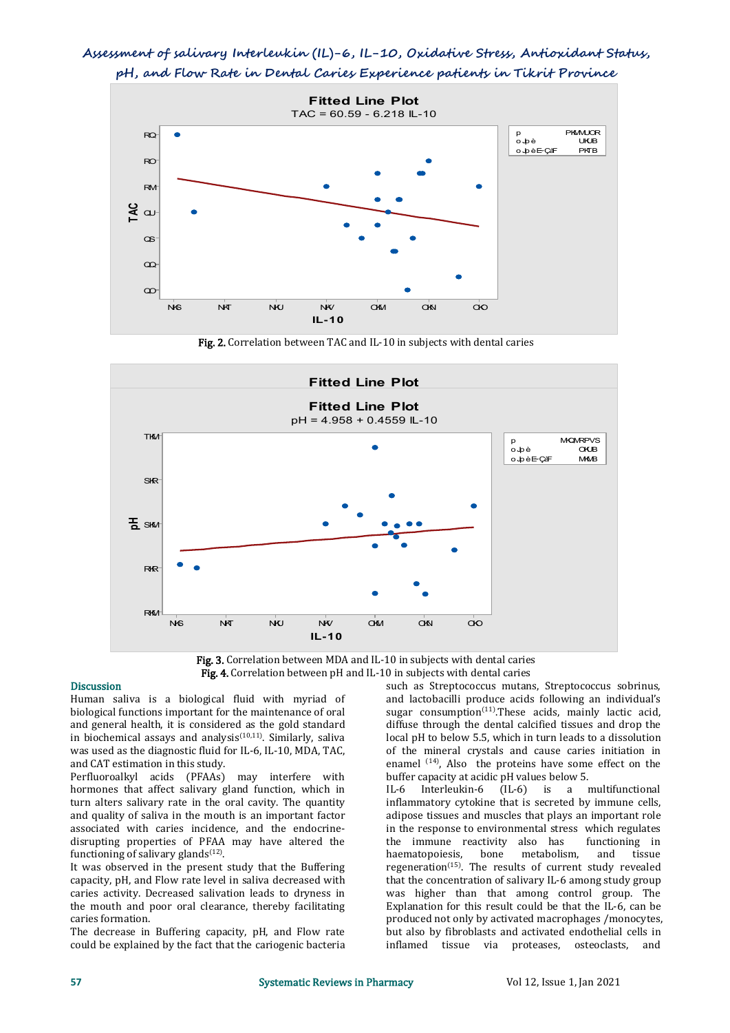# **Assessment of salivary Interleukin (IL)-6, IL-10, Oxidative Stress, Antioxidant Status, pH, and Flow Rate in DentalCaries Experience patients in Tikrit Province**



Fig. 2. Correlation between TAC and IL-10 in subjects with dental caries



Fig. 3. Correlation between MDA and IL-10 in subjects with dental caries Fig. 4. Correlation between pH and IL-10 in subjects with dental caries

# Discussion

Human saliva is a biological fluid with myriad of biological functions important for the maintenance of oral and general health, it is considered as the gold standard in biochemical assays and analysis<sup> $(10,11)$ </sup>. Similarly, saliva  $\qquad \qquad$  local pH to b was used as the diagnostic fluid for IL-6, IL-10, MDA, TAC, and CAT estimation in this study.

Perfluoroalkyl acids (PFAAs) may interfere with hormones that affect salivary gland function, which in turn alters salivary rate in the oral cavity. The quantity and quality of saliva in the mouth is an important factor associated with caries incidence, and the endocrine disrupting properties of PFAA may have altered the the immune inductioning of salivary glands<sup>(12)</sup>. haematopoiesis. functioning of salivary glands<sup>(12)</sup>. .

It was observed in the present study that the Buffering capacity, pH, and Flow rate level in saliva decreased with caries activity. Decreased salivation leads to dryness in the mouth and poor oral clearance, thereby facilitating caries formation.

The decrease in Buffering capacity, pH, and Flow rate could be explained by the fact that the cariogenic bacteria such as Streptococcus mutans, Streptococcus sobrinus, and lactobacilli produce acids following an individual's sugar consumption<sup>(11)</sup>.These acids, mainly lactic acid, diffuse through the dental calcified tissues and drop the local pH to below 5.5, which in turn leads to a dissolution of the mineral crystals and cause caries initiation in enamel  $(14)$ , Also the proteins have some effect on the buffer capacity at acidic pH values below 5.

IL-6 Interleukin-6 (IL-6) is a multifunctional inflammatory cytokine that is secreted by immune cells, adipose tissues and muscles that plays an important role in the response to environmental stress which regulates<br>the immune reactivity also has functioning in the immune reactivity also has functioning in haematopoiesis, bone metabolism, and tissue regeneration (15) . The results of current study revealed that the concentration of salivary IL-6 among study group was higher than that among control group. The Explanation for this result could be that the IL-6, can be produced not only by activated macrophages /monocytes, but also by fibroblasts and activated endothelial cells in inflamed tissue via proteases, osteoclasts, and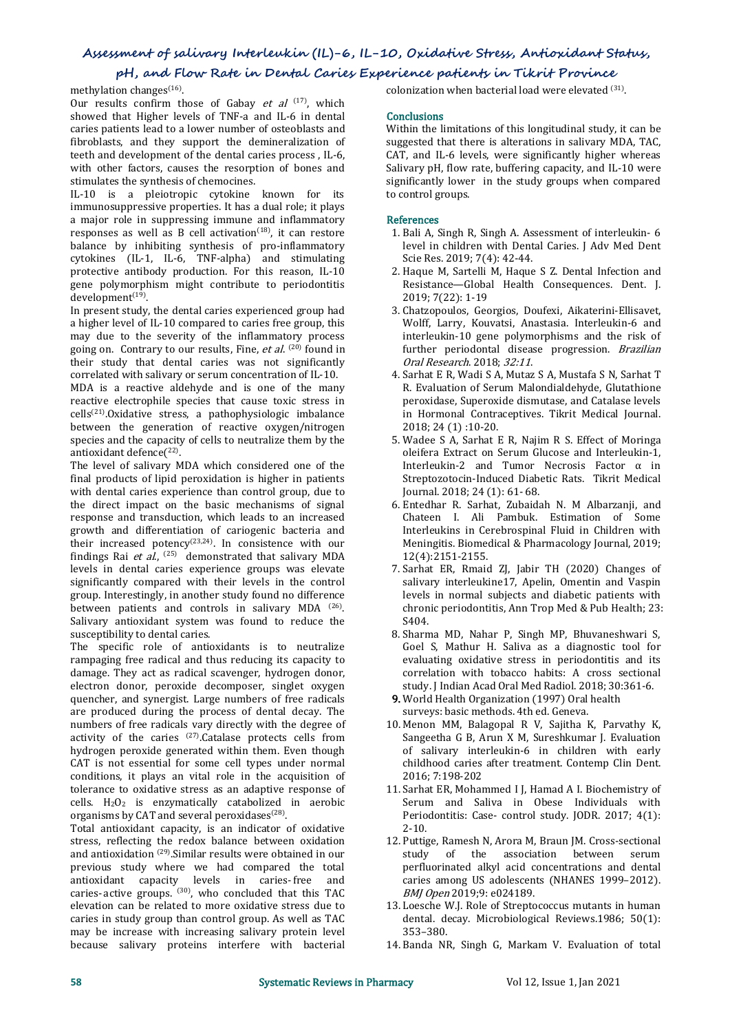# **Assessment of salivary Interleukin (IL)-6, IL-10, Oxidative Stress, Antioxidant Status,**

# **pH, and Flow Rate in DentalCaries Experience patients in Tikrit Province**

methylation changes<sup>(16)</sup>.

. Our results confirm those of Gabay *et al*  $(17)$ , which showed that Higher levels of TNF-a and IL-6 in dental caries patients lead to alower number of osteoblasts and fibroblasts, and they support the demineralization of teeth and development of the dental caries process , IL-6, with other factors, causes the resorption of bones and stimulates the synthesis of chemocines.

IL-10 is a pleiotropic cytokine known for its immunosuppressive properties. It has a dual role; it plays a major role in suppressing immune and inflammatory responses as well as B cell activation<sup>(18)</sup>, it can restore  $\qquad \qquad$  1. Bali A, Si balance by inhibiting synthesis of pro-inflammatory cytokines (IL-1, IL-6, TNF-alpha) and stimulating protective antibody production. For this reason, IL-10 gene polymorphism might contribute to periodontitis development<sup>(19)</sup>. .

In present study, the dental caries experienced group had a higher level of IL-10 compared to caries free group, this may due to the severity of the inflammatory process going on. Contrary to our results, Fine, et al.  $(20)$  found in their study that dental caries was not significantly correlated with salivary or serum concentration of IL-10.

MDA is a reactive aldehyde and is one of the many reactive electrophile species that cause toxic stress in cells (21) .Oxidative stress, a pathophysiologic imbalance between the generation of reactive oxygen/nitrogen species and the capacity of cells to neutralize them by the 5. Wadee S A, Sarhat E R, Najim R S. Effect of Moringa<br>oleifera Extract on Serum Glucose and Interleukin-1. antioxidant defence $(^{22)}$ . .

The level of salivary MDA which considered one of the final products of lipid peroxidation is higher in patients with dental caries experience than control group, due to the direct impact on the basic mechanisms of signal response and transduction, which leads to an increased growth and differentiation of cariogenic bacteria and their increased potency<sup>(23,24)</sup>. In consistence with our **Mending** findings [Rai](https://www.frontiersin.org/articles/10.3389/fcimb.2015.00073/full) et al.,  $(25)$  demonstrated that salivary MDA levels in dental caries experience groups was elevate significantly compared with their levels in the control group. Interestingly, in another study found no difference between patients and controls in salivary MDA <sup>(26)</sup>. The chronic per . Salivary antioxidant system was found to reduce the susceptibility to dental caries.

The specific role of antioxidants is to neutralize rampaging free radical and thus reducing its capacity to damage. They act as radical scavenger, hydrogen donor, electron donor, peroxide decomposer, singlet oxygen quencher, and synergist. Large numbers of free radicals are produced during the process of dental decay. The numbers of free radicals vary directly with the degree of activity of the caries  $^{(27)}$ . Catalase protects cells from Sangeetha G B, Arun X hydrogen peroxide generated within them. Even though CAT is not essential for some cell types under normal conditions, it plays an vital role in the acquisition of tolerance to oxidative stress as an adaptive response of  $cells. H<sub>2</sub>O<sub>2</sub>$  is enzymatically catabolized in aerobic organisms by CAT and several peroxidases<sup>(28)</sup>. .

Total antioxidant capacity, is an indicator of oxidative stress, reflecting the redox balance between oxidation and antioxidation (29) .Similar results were obtained in our previous study where we had compared the total<br>antioxidant capacity levels in caries-free and antioxidant capacity levels in caries-free caries-active groups.  $^{(30)}$ , who concluded that this TAC  $BMJ\,Open\,20$ elevation can be related to more oxidative stress due to caries in study group than control group. As well as TAC may be increase with increasing salivary protein level because salivary proteins interfere with bacterial

colonization when bacterial load were elevated (31) .

#### **Conclusions**

Within the limitations of this longitudinal study, it can be suggested that there is alterations in salivary MDA, TAC, CAT, and IL-6 levels, were significantly higher whereas Salivary pH, flow rate, buffering capacity, and IL-10 were significantly lower in the study groups when compared to control groups.

# References

- 1. Bali A, Singh R, Singh A. Assessment of interleukin- 6 level in children with Dental Caries. J Adv Med Dent Scie Res. 2019; 7(4): 42-44.
- 2. Haque M, Sartelli M, Haque S Z. Dental Infection and Resistance—Global Health Consequences. Dent. J. 2019; 7(22): 1-19
- 3. Chatzopoulos, Georgios, Doufexi, Aikaterini-Ellisavet, Wolff, Larry, Kouvatsi, Anastasia. Interleukin-6 and interleukin-10 gene polymorphisms and the risk of further periodontal disease progression. Brazilian Oral Research. 2018; 32:11.
- 4. Sarhat E R, Wadi S A, Mutaz S A, Mustafa S N, Sarhat T R. Evaluation of Serum Malondialdehyde, Glutathione peroxidase, Superoxide dismutase, and Catalase levels in Hormonal Contraceptives. Tikrit Medical Journal. 2018; 24 (1) :10-20.
- 5. Wadee S A, Sarhat E R, Najim R S. Effect of Moringa Interleukin-2, and Tumor Necrosis Factor  $\alpha$  in Streptozotocin-Induced Diabetic Rats. Tikrit Medical Journal. 2018; 24 (1): 61- 68.
- 6. Entedhar R. Sarhat, Zubaidah N. M Albarzanji, and Chateen I. Ali Pambuk. Estimation of Some Interleukins in Cerebrospinal Fluid in Children with Meningitis. Biomedical & Pharmacology Journal, 2019; 12(4):2151-2155.
- 7. Sarhat ER, Rmaid ZJ, Jabir TH (2020) Changes of salivary interleukine17, Apelin, Omentin and Vaspin levels in normal subjects and diabetic patients with chronic periodontitis, Ann Trop Med & Pub Health; 23: S404.
- 8. Sharma MD, Nahar P, Singh MP, Bhuvaneshwari S, Goel S, Mathur H. Saliva as a diagnostic tool for evaluating oxidative stress in periodontitis and its correlation with tobacco habits: A cross sectional study. J Indian Acad Oral Med Radiol. 2018; 30:361-6.
- 9. World Health Organization (1997) Oral health surveys: basic methods. 4th ed. Geneva.
- 10. Menon MM, Balagopal R V, Sajitha K, Parvathy K, Sangeetha G B, Arun X M, Sureshkumar J. Evaluation of salivary interleukin-6 in children with early childhood caries after treatment. Contemp Clin Dent. 2016; 7:198-202
- 11. Sarhat ER, Mohammed I J, Hamad A I. Biochemistry of Serum and Saliva in Obese Individuals with Periodontitis: Case- control study. JODR. 2017; 4(1): 2-10.
- 12. Puttige, Ramesh N, Arora M, Braun JM. Cross-sectional study of the association between serum perfluorinated alkyl acid concentrations and dental caries among US adolescents (NHANES 1999–2012). BMJ Open 2019;9: e024189.
- 13. Loesche W.J. Role of Streptococcus mutants in human dental. decay. Microbiological Reviews.1986; 50(1): 353–380.
- 14. Banda NR, Singh G, Markam V. Evaluation of total